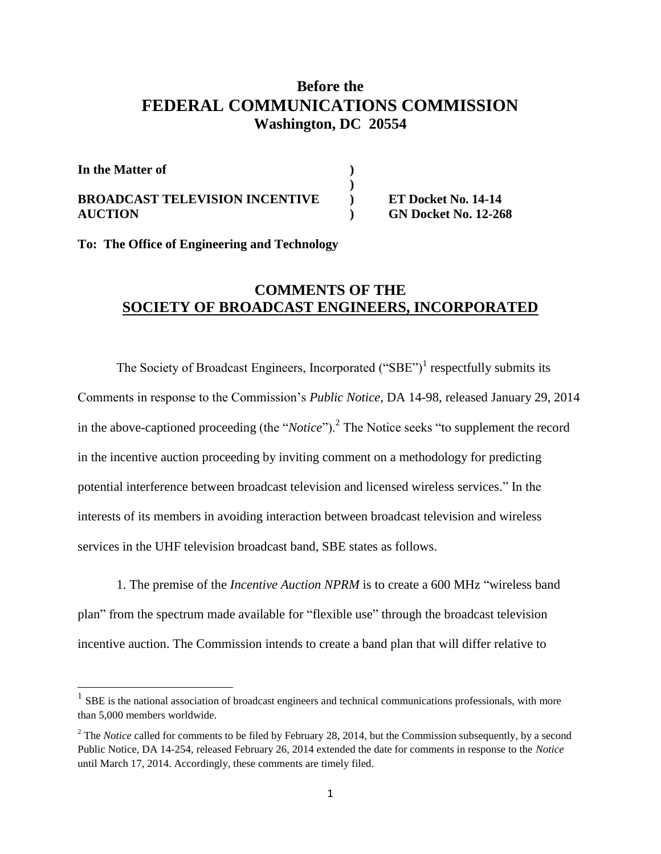## **Before the FEDERAL COMMUNICATIONS COMMISSION Washington, DC 20554**

| In the Matter of                      |                             |
|---------------------------------------|-----------------------------|
|                                       |                             |
| <b>BROADCAST TELEVISION INCENTIVE</b> | <b>ET Docket No. 14-14</b>  |
| <b>AUCTION</b>                        | <b>GN Docket No. 12-268</b> |

**To: The Office of Engineering and Technology**

## **COMMENTS OF THE SOCIETY OF BROADCAST ENGINEERS, INCORPORATED**

The Society of Broadcast Engineers, Incorporated  $("SBE")<sup>1</sup>$  respectfully submits its Comments in response to the Commission's *Public Notice,* DA 14-98, released January 29, 2014 in the above-captioned proceeding (the "*Notice*").<sup>2</sup> The Notice seeks "to supplement the record in the incentive auction proceeding by inviting comment on a methodology for predicting potential interference between broadcast television and licensed wireless services." In the interests of its members in avoiding interaction between broadcast television and wireless services in the UHF television broadcast band, SBE states as follows.

1. The premise of the *Incentive Auction NPRM* is to create a 600 MHz "wireless band plan" from the spectrum made available for "flexible use" through the broadcast television incentive auction. The Commission intends to create a band plan that will differ relative to

<sup>&</sup>lt;sup>1</sup> SBE is the national association of broadcast engineers and technical communications professionals, with more than 5,000 members worldwide.

<sup>&</sup>lt;sup>2</sup> The *Notice* called for comments to be filed by February 28, 2014, but the Commission subsequently, by a second Public Notice, DA 14-254, released February 26, 2014 extended the date for comments in response to the *Notice* until March 17, 2014. Accordingly, these comments are timely filed.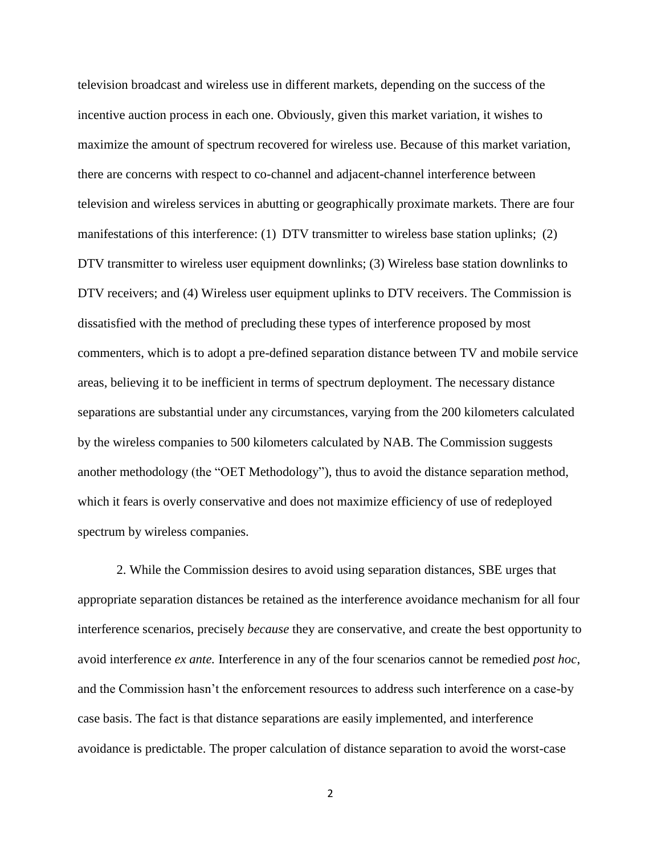television broadcast and wireless use in different markets, depending on the success of the incentive auction process in each one. Obviously, given this market variation, it wishes to maximize the amount of spectrum recovered for wireless use. Because of this market variation, there are concerns with respect to co-channel and adjacent-channel interference between television and wireless services in abutting or geographically proximate markets. There are four manifestations of this interference: (1) DTV transmitter to wireless base station uplinks; (2) DTV transmitter to wireless user equipment downlinks; (3) Wireless base station downlinks to DTV receivers; and (4) Wireless user equipment uplinks to DTV receivers. The Commission is dissatisfied with the method of precluding these types of interference proposed by most commenters, which is to adopt a pre-defined separation distance between TV and mobile service areas, believing it to be inefficient in terms of spectrum deployment. The necessary distance separations are substantial under any circumstances, varying from the 200 kilometers calculated by the wireless companies to 500 kilometers calculated by NAB. The Commission suggests another methodology (the "OET Methodology"), thus to avoid the distance separation method, which it fears is overly conservative and does not maximize efficiency of use of redeployed spectrum by wireless companies.

2. While the Commission desires to avoid using separation distances, SBE urges that appropriate separation distances be retained as the interference avoidance mechanism for all four interference scenarios, precisely *because* they are conservative, and create the best opportunity to avoid interference *ex ante.* Interference in any of the four scenarios cannot be remedied *post hoc*, and the Commission hasn't the enforcement resources to address such interference on a case-by case basis. The fact is that distance separations are easily implemented, and interference avoidance is predictable. The proper calculation of distance separation to avoid the worst-case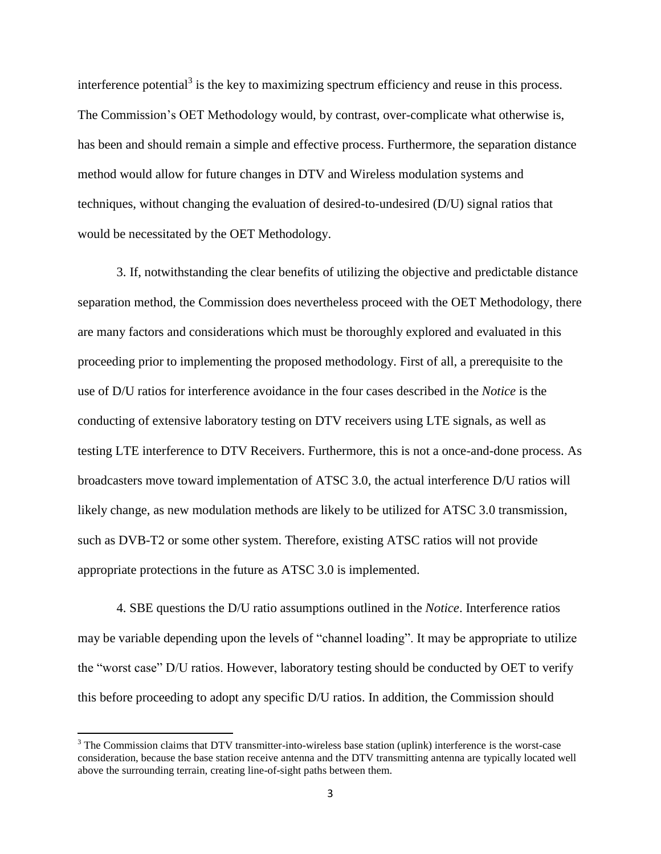interference potential<sup>3</sup> is the key to maximizing spectrum efficiency and reuse in this process. The Commission's OET Methodology would, by contrast, over-complicate what otherwise is, has been and should remain a simple and effective process. Furthermore, the separation distance method would allow for future changes in DTV and Wireless modulation systems and techniques, without changing the evaluation of desired-to-undesired (D/U) signal ratios that would be necessitated by the OET Methodology.

3. If, notwithstanding the clear benefits of utilizing the objective and predictable distance separation method, the Commission does nevertheless proceed with the OET Methodology, there are many factors and considerations which must be thoroughly explored and evaluated in this proceeding prior to implementing the proposed methodology. First of all, a prerequisite to the use of D/U ratios for interference avoidance in the four cases described in the *Notice* is the conducting of extensive laboratory testing on DTV receivers using LTE signals, as well as testing LTE interference to DTV Receivers. Furthermore, this is not a once-and-done process. As broadcasters move toward implementation of ATSC 3.0, the actual interference D/U ratios will likely change, as new modulation methods are likely to be utilized for ATSC 3.0 transmission, such as DVB-T2 or some other system. Therefore, existing ATSC ratios will not provide appropriate protections in the future as ATSC 3.0 is implemented.

4. SBE questions the D/U ratio assumptions outlined in the *Notice*. Interference ratios may be variable depending upon the levels of "channel loading". It may be appropriate to utilize the "worst case" D/U ratios. However, laboratory testing should be conducted by OET to verify this before proceeding to adopt any specific D/U ratios. In addition, the Commission should

 $\overline{\phantom{a}}$ 

<sup>&</sup>lt;sup>3</sup> The Commission claims that DTV transmitter-into-wireless base station (uplink) interference is the worst-case consideration, because the base station receive antenna and the DTV transmitting antenna are typically located well above the surrounding terrain, creating line-of-sight paths between them.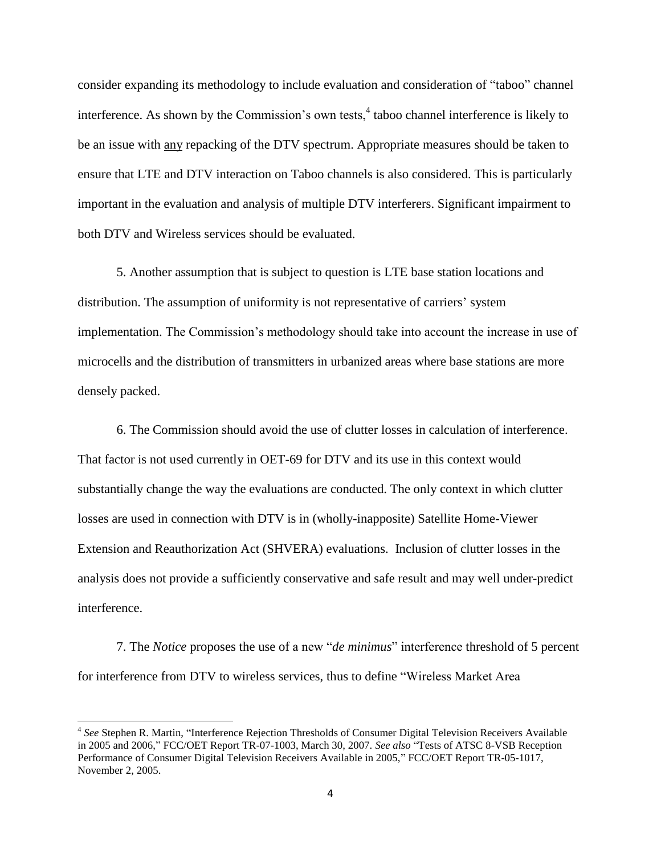consider expanding its methodology to include evaluation and consideration of "taboo" channel interference. As shown by the Commission's own tests,<sup>4</sup> taboo channel interference is likely to be an issue with any repacking of the DTV spectrum. Appropriate measures should be taken to ensure that LTE and DTV interaction on Taboo channels is also considered. This is particularly important in the evaluation and analysis of multiple DTV interferers. Significant impairment to both DTV and Wireless services should be evaluated.

5. Another assumption that is subject to question is LTE base station locations and distribution. The assumption of uniformity is not representative of carriers' system implementation. The Commission's methodology should take into account the increase in use of microcells and the distribution of transmitters in urbanized areas where base stations are more densely packed.

6. The Commission should avoid the use of clutter losses in calculation of interference. That factor is not used currently in OET-69 for DTV and its use in this context would substantially change the way the evaluations are conducted. The only context in which clutter losses are used in connection with DTV is in (wholly-inapposite) Satellite Home-Viewer Extension and Reauthorization Act (SHVERA) evaluations. Inclusion of clutter losses in the analysis does not provide a sufficiently conservative and safe result and may well under-predict interference.

7. The *Notice* proposes the use of a new "*de minimus*" interference threshold of 5 percent for interference from DTV to wireless services, thus to define "Wireless Market Area

 $\overline{\phantom{a}}$ 

<sup>4</sup> *See* Stephen R. Martin, "Interference Rejection Thresholds of Consumer Digital Television Receivers Available in 2005 and 2006," FCC/OET Report TR-07-1003, March 30, 2007. *See also* "Tests of ATSC 8-VSB Reception Performance of Consumer Digital Television Receivers Available in 2005," FCC/OET Report TR-05-1017, November 2, 2005.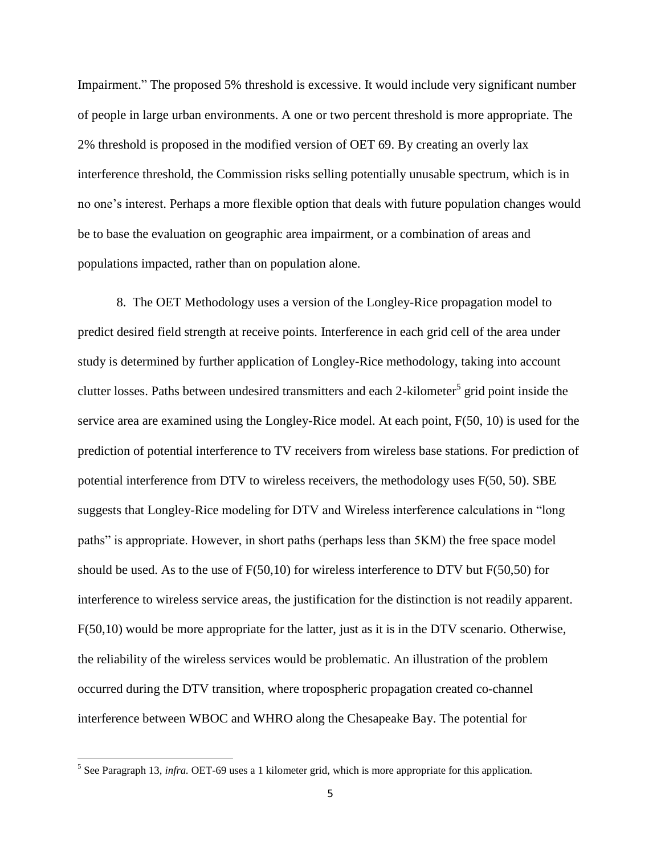Impairment." The proposed 5% threshold is excessive. It would include very significant number of people in large urban environments. A one or two percent threshold is more appropriate. The 2% threshold is proposed in the modified version of OET 69. By creating an overly lax interference threshold, the Commission risks selling potentially unusable spectrum, which is in no one's interest. Perhaps a more flexible option that deals with future population changes would be to base the evaluation on geographic area impairment, or a combination of areas and populations impacted, rather than on population alone.

8. The OET Methodology uses a version of the Longley-Rice propagation model to predict desired field strength at receive points. Interference in each grid cell of the area under study is determined by further application of Longley-Rice methodology, taking into account clutter losses. Paths between undesired transmitters and each 2-kilometer<sup>5</sup> grid point inside the service area are examined using the Longley-Rice model. At each point, F(50, 10) is used for the prediction of potential interference to TV receivers from wireless base stations. For prediction of potential interference from DTV to wireless receivers, the methodology uses F(50, 50). SBE suggests that Longley-Rice modeling for DTV and Wireless interference calculations in "long paths" is appropriate. However, in short paths (perhaps less than 5KM) the free space model should be used. As to the use of  $F(50,10)$  for wireless interference to DTV but  $F(50,50)$  for interference to wireless service areas, the justification for the distinction is not readily apparent. F(50,10) would be more appropriate for the latter, just as it is in the DTV scenario. Otherwise, the reliability of the wireless services would be problematic. An illustration of the problem occurred during the DTV transition, where tropospheric propagation created co-channel interference between WBOC and WHRO along the Chesapeake Bay. The potential for

 $\overline{\phantom{a}}$ 

<sup>&</sup>lt;sup>5</sup> See Paragraph 13, *infra*. OET-69 uses a 1 kilometer grid, which is more appropriate for this application.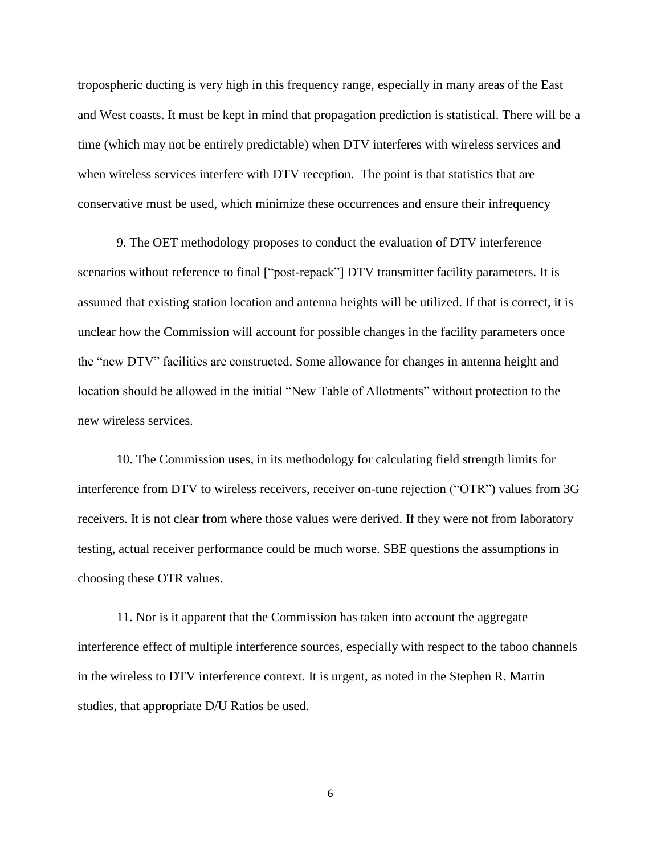tropospheric ducting is very high in this frequency range, especially in many areas of the East and West coasts. It must be kept in mind that propagation prediction is statistical. There will be a time (which may not be entirely predictable) when DTV interferes with wireless services and when wireless services interfere with DTV reception. The point is that statistics that are conservative must be used, which minimize these occurrences and ensure their infrequency

9. The OET methodology proposes to conduct the evaluation of DTV interference scenarios without reference to final ["post-repack"] DTV transmitter facility parameters. It is assumed that existing station location and antenna heights will be utilized. If that is correct, it is unclear how the Commission will account for possible changes in the facility parameters once the "new DTV" facilities are constructed. Some allowance for changes in antenna height and location should be allowed in the initial "New Table of Allotments" without protection to the new wireless services.

10. The Commission uses, in its methodology for calculating field strength limits for interference from DTV to wireless receivers, receiver on-tune rejection ("OTR") values from 3G receivers. It is not clear from where those values were derived. If they were not from laboratory testing, actual receiver performance could be much worse. SBE questions the assumptions in choosing these OTR values.

11. Nor is it apparent that the Commission has taken into account the aggregate interference effect of multiple interference sources, especially with respect to the taboo channels in the wireless to DTV interference context. It is urgent, as noted in the Stephen R. Martin studies, that appropriate D/U Ratios be used.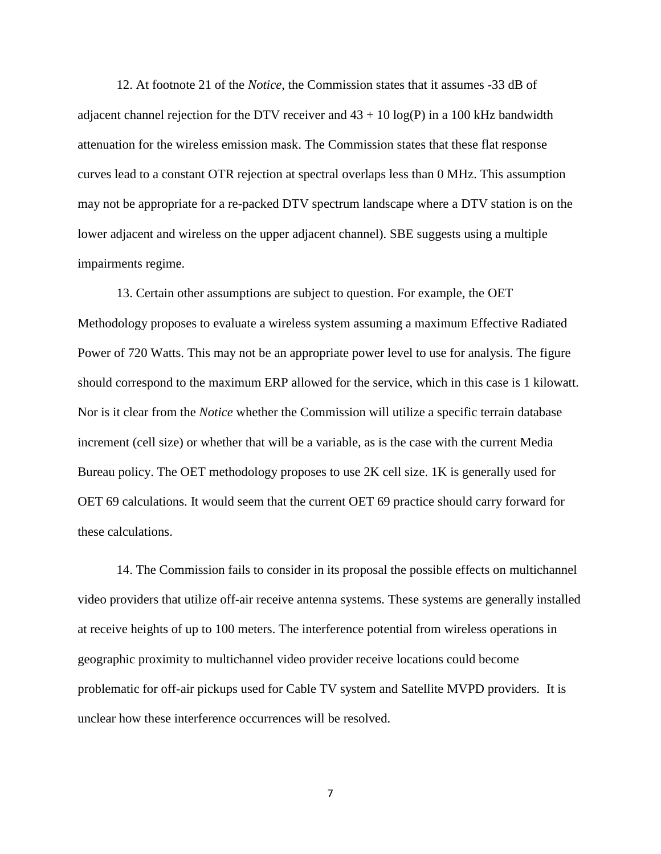12. At footnote 21 of the *Notice*, the Commission states that it assumes -33 dB of adjacent channel rejection for the DTV receiver and  $43 + 10 \log(P)$  in a 100 kHz bandwidth attenuation for the wireless emission mask. The Commission states that these flat response curves lead to a constant OTR rejection at spectral overlaps less than 0 MHz. This assumption may not be appropriate for a re-packed DTV spectrum landscape where a DTV station is on the lower adjacent and wireless on the upper adjacent channel). SBE suggests using a multiple impairments regime.

13. Certain other assumptions are subject to question. For example, the OET Methodology proposes to evaluate a wireless system assuming a maximum Effective Radiated Power of 720 Watts. This may not be an appropriate power level to use for analysis. The figure should correspond to the maximum ERP allowed for the service, which in this case is 1 kilowatt. Nor is it clear from the *Notice* whether the Commission will utilize a specific terrain database increment (cell size) or whether that will be a variable, as is the case with the current Media Bureau policy. The OET methodology proposes to use 2K cell size. 1K is generally used for OET 69 calculations. It would seem that the current OET 69 practice should carry forward for these calculations.

14. The Commission fails to consider in its proposal the possible effects on multichannel video providers that utilize off-air receive antenna systems. These systems are generally installed at receive heights of up to 100 meters. The interference potential from wireless operations in geographic proximity to multichannel video provider receive locations could become problematic for off-air pickups used for Cable TV system and Satellite MVPD providers. It is unclear how these interference occurrences will be resolved.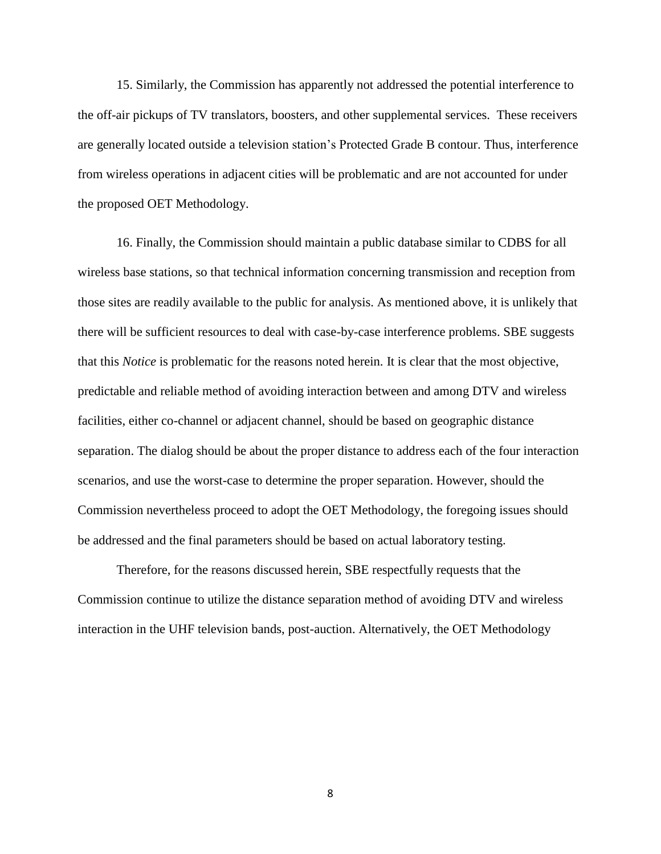15. Similarly, the Commission has apparently not addressed the potential interference to the off-air pickups of TV translators, boosters, and other supplemental services. These receivers are generally located outside a television station's Protected Grade B contour. Thus, interference from wireless operations in adjacent cities will be problematic and are not accounted for under the proposed OET Methodology.

16. Finally, the Commission should maintain a public database similar to CDBS for all wireless base stations, so that technical information concerning transmission and reception from those sites are readily available to the public for analysis. As mentioned above, it is unlikely that there will be sufficient resources to deal with case-by-case interference problems. SBE suggests that this *Notice* is problematic for the reasons noted herein. It is clear that the most objective, predictable and reliable method of avoiding interaction between and among DTV and wireless facilities, either co-channel or adjacent channel, should be based on geographic distance separation. The dialog should be about the proper distance to address each of the four interaction scenarios, and use the worst-case to determine the proper separation. However, should the Commission nevertheless proceed to adopt the OET Methodology, the foregoing issues should be addressed and the final parameters should be based on actual laboratory testing.

Therefore, for the reasons discussed herein, SBE respectfully requests that the Commission continue to utilize the distance separation method of avoiding DTV and wireless interaction in the UHF television bands, post-auction. Alternatively, the OET Methodology